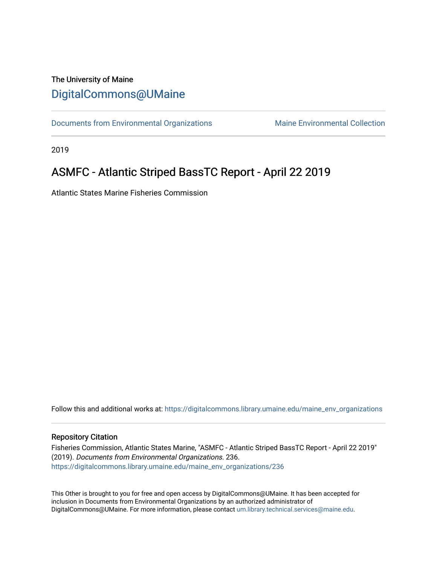### The University of Maine [DigitalCommons@UMaine](https://digitalcommons.library.umaine.edu/)

[Documents from Environmental Organizations](https://digitalcommons.library.umaine.edu/maine_env_organizations) Maine Environmental Collection

2019

## ASMFC - Atlantic Striped BassTC Report - April 22 2019

Atlantic States Marine Fisheries Commission

Follow this and additional works at: [https://digitalcommons.library.umaine.edu/maine\\_env\\_organizations](https://digitalcommons.library.umaine.edu/maine_env_organizations?utm_source=digitalcommons.library.umaine.edu%2Fmaine_env_organizations%2F236&utm_medium=PDF&utm_campaign=PDFCoverPages)

#### Repository Citation

Fisheries Commission, Atlantic States Marine, "ASMFC - Atlantic Striped BassTC Report - April 22 2019" (2019). Documents from Environmental Organizations. 236. [https://digitalcommons.library.umaine.edu/maine\\_env\\_organizations/236](https://digitalcommons.library.umaine.edu/maine_env_organizations/236?utm_source=digitalcommons.library.umaine.edu%2Fmaine_env_organizations%2F236&utm_medium=PDF&utm_campaign=PDFCoverPages)

This Other is brought to you for free and open access by DigitalCommons@UMaine. It has been accepted for inclusion in Documents from Environmental Organizations by an authorized administrator of DigitalCommons@UMaine. For more information, please contact [um.library.technical.services@maine.edu](mailto:um.library.technical.services@maine.edu).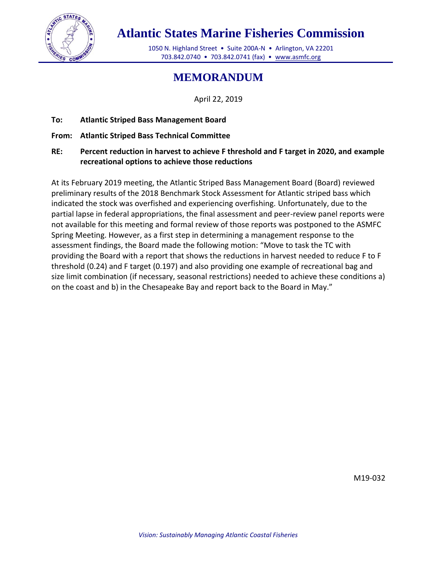

# **Atlantic States Marine Fisheries Commission**

1050 N. Highland Street • Suite 200A-N • Arlington, VA 22201 703.842.0740 • 703.842.0741 (fax) • [www.asmfc.org](http://www.asmfc.org/)

## **MEMORANDUM**

April 22, 2019

- **To: Atlantic Striped Bass Management Board**
- **From: Atlantic Striped Bass Technical Committee**
- **RE: Percent reduction in harvest to achieve F threshold and F target in 2020, and example recreational options to achieve those reductions**

At its February 2019 meeting, the Atlantic Striped Bass Management Board (Board) reviewed preliminary results of the 2018 Benchmark Stock Assessment for Atlantic striped bass which indicated the stock was overfished and experiencing overfishing. Unfortunately, due to the partial lapse in federal appropriations, the final assessment and peer-review panel reports were not available for this meeting and formal review of those reports was postponed to the ASMFC Spring Meeting. However, as a first step in determining a management response to the assessment findings, the Board made the following motion: "Move to task the TC with providing the Board with a report that shows the reductions in harvest needed to reduce F to F threshold (0.24) and F target (0.197) and also providing one example of recreational bag and size limit combination (if necessary, seasonal restrictions) needed to achieve these conditions a) on the coast and b) in the Chesapeake Bay and report back to the Board in May."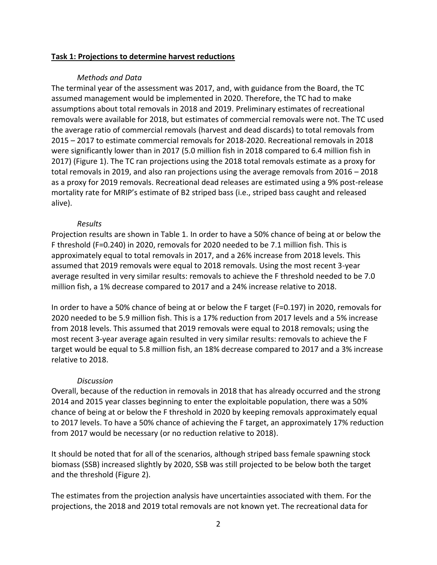#### **Task 1: Projections to determine harvest reductions**

#### *Methods and Data*

The terminal year of the assessment was 2017, and, with guidance from the Board, the TC assumed management would be implemented in 2020. Therefore, the TC had to make assumptions about total removals in 2018 and 2019. Preliminary estimates of recreational removals were available for 2018, but estimates of commercial removals were not. The TC used the average ratio of commercial removals (harvest and dead discards) to total removals from 2015 – 2017 to estimate commercial removals for 2018-2020. Recreational removals in 2018 were significantly lower than in 2017 (5.0 million fish in 2018 compared to 6.4 million fish in 2017) (Figure 1). The TC ran projections using the 2018 total removals estimate as a proxy for total removals in 2019, and also ran projections using the average removals from 2016 – 2018 as a proxy for 2019 removals. Recreational dead releases are estimated using a 9% post-release mortality rate for MRIP's estimate of B2 striped bass (i.e., striped bass caught and released alive).

#### *Results*

Projection results are shown in Table 1. In order to have a 50% chance of being at or below the F threshold (F=0.240) in 2020, removals for 2020 needed to be 7.1 million fish. This is approximately equal to total removals in 2017, and a 26% increase from 2018 levels. This assumed that 2019 removals were equal to 2018 removals. Using the most recent 3-year average resulted in very similar results: removals to achieve the F threshold needed to be 7.0 million fish, a 1% decrease compared to 2017 and a 24% increase relative to 2018.

In order to have a 50% chance of being at or below the F target (F=0.197) in 2020, removals for 2020 needed to be 5.9 million fish. This is a 17% reduction from 2017 levels and a 5% increase from 2018 levels. This assumed that 2019 removals were equal to 2018 removals; using the most recent 3-year average again resulted in very similar results: removals to achieve the F target would be equal to 5.8 million fish, an 18% decrease compared to 2017 and a 3% increase relative to 2018.

#### *Discussion*

Overall, because of the reduction in removals in 2018 that has already occurred and the strong 2014 and 2015 year classes beginning to enter the exploitable population, there was a 50% chance of being at or below the F threshold in 2020 by keeping removals approximately equal to 2017 levels. To have a 50% chance of achieving the F target, an approximately 17% reduction from 2017 would be necessary (or no reduction relative to 2018).

It should be noted that for all of the scenarios, although striped bass female spawning stock biomass (SSB) increased slightly by 2020, SSB was still projected to be below both the target and the threshold (Figure 2).

The estimates from the projection analysis have uncertainties associated with them. For the projections, the 2018 and 2019 total removals are not known yet. The recreational data for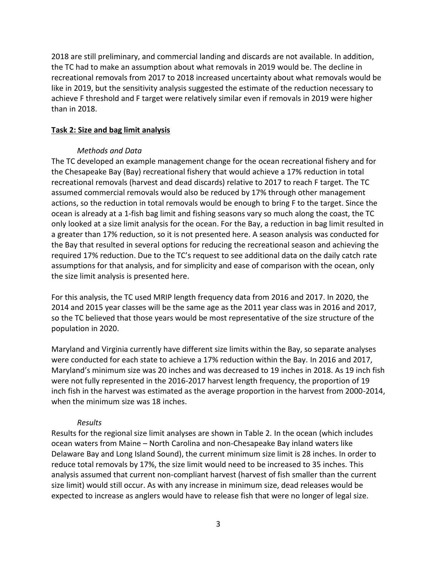2018 are still preliminary, and commercial landing and discards are not available. In addition, the TC had to make an assumption about what removals in 2019 would be. The decline in recreational removals from 2017 to 2018 increased uncertainty about what removals would be like in 2019, but the sensitivity analysis suggested the estimate of the reduction necessary to achieve F threshold and F target were relatively similar even if removals in 2019 were higher than in 2018.

#### **Task 2: Size and bag limit analysis**

#### *Methods and Data*

The TC developed an example management change for the ocean recreational fishery and for the Chesapeake Bay (Bay) recreational fishery that would achieve a 17% reduction in total recreational removals (harvest and dead discards) relative to 2017 to reach F target. The TC assumed commercial removals would also be reduced by 17% through other management actions, so the reduction in total removals would be enough to bring F to the target. Since the ocean is already at a 1-fish bag limit and fishing seasons vary so much along the coast, the TC only looked at a size limit analysis for the ocean. For the Bay, a reduction in bag limit resulted in a greater than 17% reduction, so it is not presented here. A season analysis was conducted for the Bay that resulted in several options for reducing the recreational season and achieving the required 17% reduction. Due to the TC's request to see additional data on the daily catch rate assumptions for that analysis, and for simplicity and ease of comparison with the ocean, only the size limit analysis is presented here.

For this analysis, the TC used MRIP length frequency data from 2016 and 2017. In 2020, the 2014 and 2015 year classes will be the same age as the 2011 year class was in 2016 and 2017, so the TC believed that those years would be most representative of the size structure of the population in 2020.

Maryland and Virginia currently have different size limits within the Bay, so separate analyses were conducted for each state to achieve a 17% reduction within the Bay. In 2016 and 2017, Maryland's minimum size was 20 inches and was decreased to 19 inches in 2018. As 19 inch fish were not fully represented in the 2016-2017 harvest length frequency, the proportion of 19 inch fish in the harvest was estimated as the average proportion in the harvest from 2000-2014, when the minimum size was 18 inches.

#### *Results*

Results for the regional size limit analyses are shown in Table 2. In the ocean (which includes ocean waters from Maine – North Carolina and non-Chesapeake Bay inland waters like Delaware Bay and Long Island Sound), the current minimum size limit is 28 inches. In order to reduce total removals by 17%, the size limit would need to be increased to 35 inches. This analysis assumed that current non-compliant harvest (harvest of fish smaller than the current size limit) would still occur. As with any increase in minimum size, dead releases would be expected to increase as anglers would have to release fish that were no longer of legal size.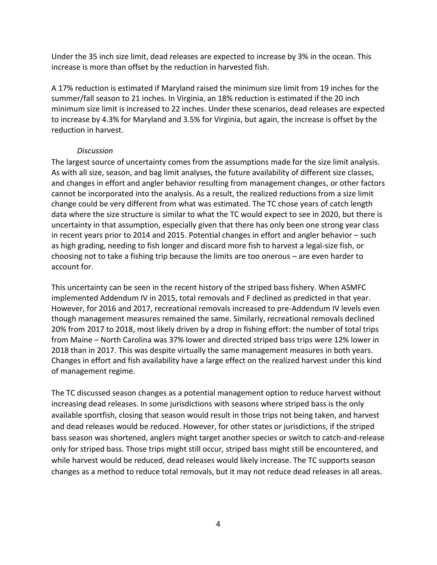Under the 35 inch size limit, dead releases are expected to increase by 3% in the ocean. This increase is more than offset by the reduction in harvested fish.

A 17% reduction is estimated if Maryland raised the minimum size limit from 19 inches for the summer/fall season to 21 inches. In Virginia, an 18% reduction is estimated if the 20 inch minimum size limit is increased to 22 inches. Under these scenarios, dead releases are expected to increase by 4.3% for Maryland and 3.5% for Virginia, but again, the increase is offset by the reduction in harvest.

### *Discussion*

The largest source of uncertainty comes from the assumptions made for the size limit analysis. As with all size, season, and bag limit analyses, the future availability of different size classes, and changes in effort and angler behavior resulting from management changes, or other factors cannot be incorporated into the analysis. As a result, the realized reductions from a size limit change could be very different from what was estimated. The TC chose years of catch length data where the size structure is similar to what the TC would expect to see in 2020, but there is uncertainty in that assumption, especially given that there has only been one strong year class in recent years prior to 2014 and 2015. Potential changes in effort and angler behavior – such as high grading, needing to fish longer and discard more fish to harvest a legal-size fish, or choosing not to take a fishing trip because the limits are too onerous – are even harder to account for.

This uncertainty can be seen in the recent history of the striped bass fishery. When ASMFC implemented Addendum IV in 2015, total removals and F declined as predicted in that year. However, for 2016 and 2017, recreational removals increased to pre-Addendum IV levels even though management measures remained the same. Similarly, recreational removals declined 20% from 2017 to 2018, most likely driven by a drop in fishing effort: the number of total trips from Maine – North Carolina was 37% lower and directed striped bass trips were 12% lower in 2018 than in 2017. This was despite virtually the same management measures in both years. Changes in effort and fish availability have a large effect on the realized harvest under this kind of management regime.

The TC discussed season changes as a potential management option to reduce harvest without increasing dead releases. In some jurisdictions with seasons where striped bass is the only available sportfish, closing that season would result in those trips not being taken, and harvest and dead releases would be reduced. However, for other states or jurisdictions, if the striped bass season was shortened, anglers might target another species or switch to catch-and-release only for striped bass. Those trips might still occur, striped bass might still be encountered, and while harvest would be reduced, dead releases would likely increase. The TC supports season changes as a method to reduce total removals, but it may not reduce dead releases in all areas.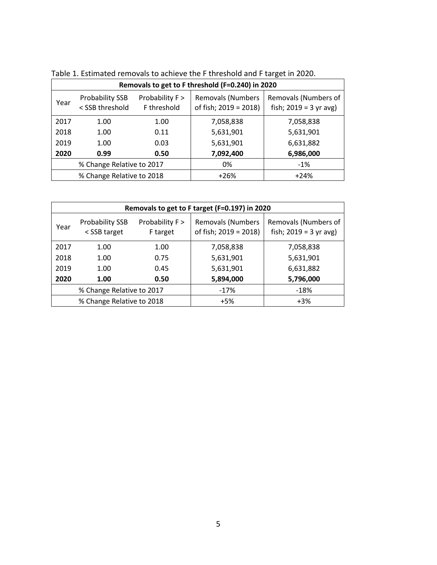| Removals to get to F threshold (F=0.240) in 2020 |                                           |                                |                                                   |                                                  |  |  |  |  |
|--------------------------------------------------|-------------------------------------------|--------------------------------|---------------------------------------------------|--------------------------------------------------|--|--|--|--|
| Year                                             | <b>Probability SSB</b><br>< SSB threshold | Probability F ><br>F threshold | <b>Removals (Numbers</b><br>of fish; 2019 = 2018) | Removals (Numbers of<br>fish; $2019 = 3$ yr avg) |  |  |  |  |
| 2017                                             | 1.00                                      | 1.00                           | 7,058,838                                         | 7,058,838                                        |  |  |  |  |
| 2018                                             | 1.00                                      | 0.11                           | 5,631,901                                         | 5,631,901                                        |  |  |  |  |
| 2019                                             | 1.00                                      | 0.03                           | 5,631,901                                         | 6,631,882                                        |  |  |  |  |
| 2020                                             | 0.99                                      | 0.50                           | 7,092,400                                         | 6,986,000                                        |  |  |  |  |
| % Change Relative to 2017                        |                                           |                                | 0%                                                | $-1\%$                                           |  |  |  |  |
| % Change Relative to 2018                        |                                           |                                | $+26%$                                            | $+24%$                                           |  |  |  |  |

| Removals to get to F target (F=0.197) in 2020 |                                        |                             |                                                   |                                                  |  |  |  |  |
|-----------------------------------------------|----------------------------------------|-----------------------------|---------------------------------------------------|--------------------------------------------------|--|--|--|--|
| Year                                          | <b>Probability SSB</b><br>< SSB target | Probability F ><br>F target | <b>Removals (Numbers</b><br>of fish; 2019 = 2018) | Removals (Numbers of<br>fish; $2019 = 3$ yr avg) |  |  |  |  |
| 2017                                          | 1.00                                   | 1.00                        | 7,058,838                                         | 7,058,838                                        |  |  |  |  |
| 2018                                          | 1.00                                   | 0.75                        | 5,631,901                                         | 5,631,901                                        |  |  |  |  |
| 2019                                          | 1.00                                   | 0.45                        | 5,631,901                                         | 6,631,882                                        |  |  |  |  |
| 2020                                          | 1.00                                   | 0.50                        | 5,894,000                                         | 5,796,000                                        |  |  |  |  |
| % Change Relative to 2017                     |                                        |                             | $-17%$                                            | $-18%$                                           |  |  |  |  |
| % Change Relative to 2018                     |                                        |                             | $+5%$                                             | $+3%$                                            |  |  |  |  |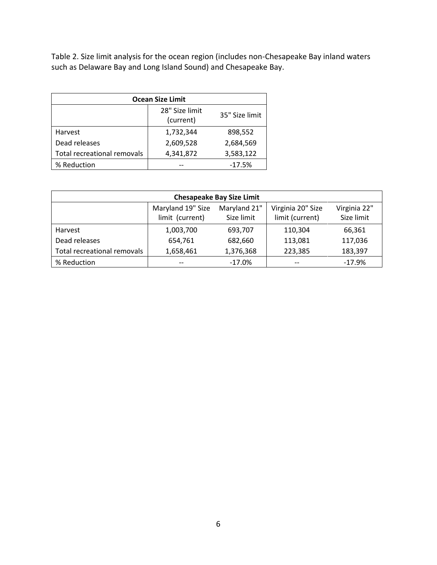Table 2. Size limit analysis for the ocean region (includes non-Chesapeake Bay inland waters such as Delaware Bay and Long Island Sound) and Chesapeake Bay.

| <b>Ocean Size Limit</b>            |                             |                |  |  |  |  |  |
|------------------------------------|-----------------------------|----------------|--|--|--|--|--|
|                                    | 28" Size limit<br>(current) | 35" Size limit |  |  |  |  |  |
| Harvest                            | 1,732,344                   | 898,552        |  |  |  |  |  |
| Dead releases                      | 2,609,528                   | 2,684,569      |  |  |  |  |  |
| <b>Total recreational removals</b> | 4,341,872                   | 3,583,122      |  |  |  |  |  |
| % Reduction                        |                             | $-17.5%$       |  |  |  |  |  |

| <b>Chesapeake Bay Size Limit</b> |                                      |                            |                                      |                            |  |  |  |
|----------------------------------|--------------------------------------|----------------------------|--------------------------------------|----------------------------|--|--|--|
|                                  | Maryland 19" Size<br>limit (current) | Maryland 21"<br>Size limit | Virginia 20" Size<br>limit (current) | Virginia 22"<br>Size limit |  |  |  |
| Harvest                          | 1,003,700                            | 693,707                    | 110,304                              | 66,361                     |  |  |  |
| Dead releases                    | 654,761                              | 682,660                    | 113,081                              | 117,036                    |  |  |  |
| Total recreational removals      | 1,658,461                            | 1,376,368                  | 223,385                              | 183,397                    |  |  |  |
| % Reduction                      | --                                   | $-17.0%$                   | --                                   | $-17.9%$                   |  |  |  |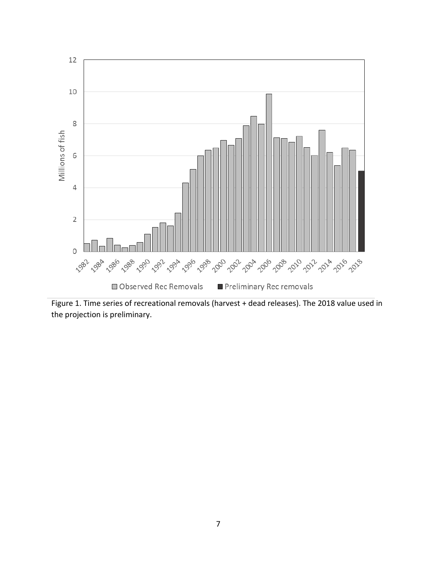

Figure 1. Time series of recreational removals (harvest + dead releases). The 2018 value used in the projection is preliminary.